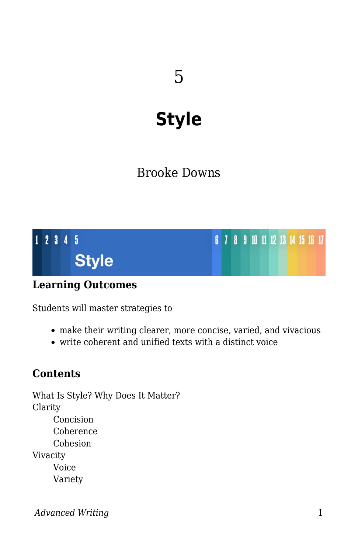# **Style**

# Brooke Downs



### **Learning Outcomes**

Students will master strategies to

- make their writing clearer, more concise, varied, and vivacious
- write coherent and unified texts with a distinct voice

### **Contents**

What Is Style? Why Does It Matter? Clarity Concision Coherence Cohesion Vivacity Voice Variety

*Advanced Writing* 1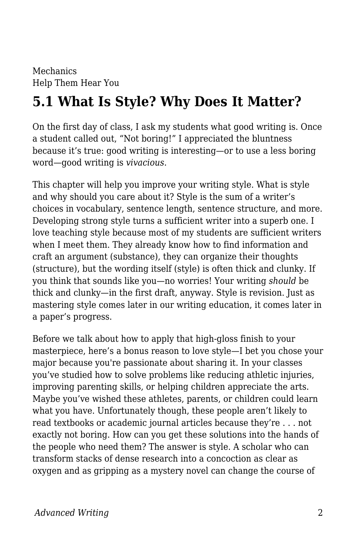Mechanics Help Them Hear You

# **5.1 What Is Style? Why Does It Matter?**

On the first day of class, I ask my students what good writing is. Once a student called out, "Not boring!" I appreciated the bluntness because it's true: good writing is interesting—or to use a less boring word—good writing is *vivacious*.

This chapter will help you improve your writing style. What is style and why should you care about it? Style is the sum of a writer's choices in vocabulary, sentence length, sentence structure, and more. Developing strong style turns a sufficient writer into a superb one. I love teaching style because most of my students are sufficient writers when I meet them. They already know how to find information and craft an argument (substance), they can organize their thoughts (structure), but the wording itself (style) is often thick and clunky. If you think that sounds like you—no worries! Your writing *should* be thick and clunky—in the first draft, anyway. Style is revision. Just as mastering style comes later in our writing education, it comes later in a paper's progress.

Before we talk about how to apply that high-gloss finish to your masterpiece, here's a bonus reason to love style—I bet you chose your major because you're passionate about sharing it. In your classes you've studied how to solve problems like reducing athletic injuries, improving parenting skills, or helping children appreciate the arts. Maybe you've wished these athletes, parents, or children could learn what you have. Unfortunately though, these people aren't likely to read textbooks or academic journal articles because they're . . . not exactly not boring. How can you get these solutions into the hands of the people who need them? The answer is style. A scholar who can transform stacks of dense research into a concoction as clear as oxygen and as gripping as a mystery novel can change the course of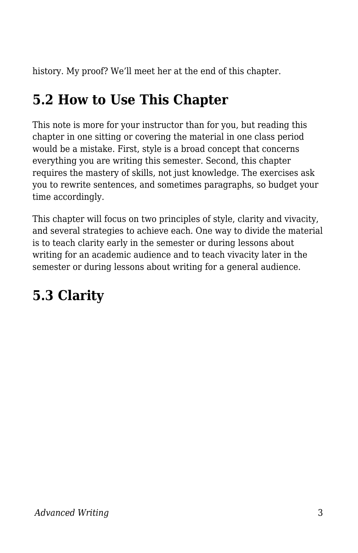history. My proof? We'll meet her at the end of this chapter.

# **5.2 How to Use This Chapter**

This note is more for your instructor than for you, but reading this chapter in one sitting or covering the material in one class period would be a mistake. First, style is a broad concept that concerns everything you are writing this semester. Second, this chapter requires the mastery of skills, not just knowledge. The exercises ask you to rewrite sentences, and sometimes paragraphs, so budget your time accordingly.

This chapter will focus on two principles of style, clarity and vivacity, and several strategies to achieve each. One way to divide the material is to teach clarity early in the semester or during lessons about writing for an academic audience and to teach vivacity later in the semester or during lessons about writing for a general audience.

# **5.3 Clarity**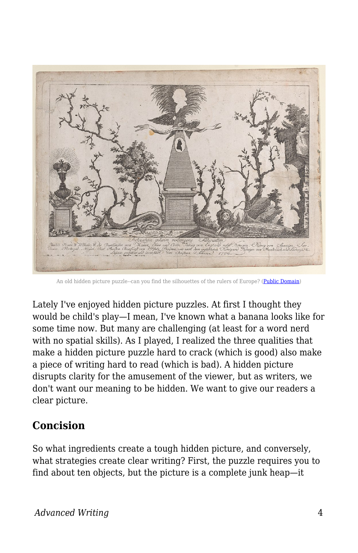

An old hidden picture puzzle--can you find the silhouettes of the rulers of Europe? [\(Public Domain](https://commons.wikimedia.org/wiki/File:Hidden_silhouettes_of_the_rulers_of_Europe_Met_DP886285.jpg))

Lately I've enjoyed hidden picture puzzles. At first I thought they would be child's play—I mean, I've known what a banana looks like for some time now. But many are challenging (at least for a word nerd with no spatial skills). As I played, I realized the three qualities that make a hidden picture puzzle hard to crack (which is good) also make a piece of writing hard to read (which is bad). A hidden picture disrupts clarity for the amusement of the viewer, but as writers, we don't want our meaning to be hidden. We want to give our readers a clear picture.

### **Concision**

So what ingredients create a tough hidden picture, and conversely, what strategies create clear writing? First, the puzzle requires you to find about ten objects, but the picture is a complete junk heap—it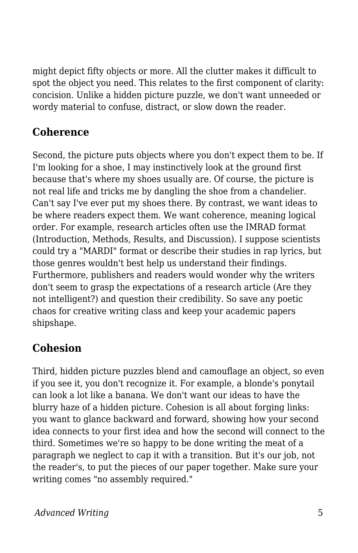might depict fifty objects or more. All the clutter makes it difficult to spot the object you need. This relates to the first component of clarity: concision. Unlike a hidden picture puzzle, we don't want unneeded or wordy material to confuse, distract, or slow down the reader.

### **Coherence**

Second, the picture puts objects where you don't expect them to be. If I'm looking for a shoe, I may instinctively look at the ground first because that's where my shoes usually are. Of course, the picture is not real life and tricks me by dangling the shoe from a chandelier. Can't say I've ever put my shoes there. By contrast, we want ideas to be where readers expect them. We want coherence, meaning logical order. For example, research articles often use the IMRAD format (Introduction, Methods, Results, and Discussion). I suppose scientists could try a "MARDI" format or describe their studies in rap lyrics, but those genres wouldn't best help us understand their findings. Furthermore, publishers and readers would wonder why the writers don't seem to grasp the expectations of a research article (Are they not intelligent?) and question their credibility. So save any poetic chaos for creative writing class and keep your academic papers shipshape.

# **Cohesion**

Third, hidden picture puzzles blend and camouflage an object, so even if you see it, you don't recognize it. For example, a blonde's ponytail can look a lot like a banana. We don't want our ideas to have the blurry haze of a hidden picture. Cohesion is all about forging links: you want to glance backward and forward, showing how your second idea connects to your first idea and how the second will connect to the third. Sometimes we're so happy to be done writing the meat of a paragraph we neglect to cap it with a transition. But it's our job, not the reader's, to put the pieces of our paper together. Make sure your writing comes "no assembly required."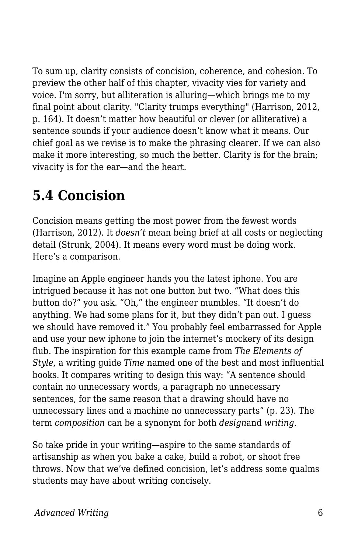To sum up, clarity consists of concision, coherence, and cohesion. To preview the other half of this chapter, vivacity vies for variety and voice. I'm sorry, but alliteration is alluring—which brings me to my final point about clarity. "Clarity trumps everything" (Harrison, 2012, p. 164). It doesn't matter how beautiful or clever (or alliterative) a sentence sounds if your audience doesn't know what it means. Our chief goal as we revise is to make the phrasing clearer. If we can also make it more interesting, so much the better. Clarity is for the brain; vivacity is for the ear—and the heart.

# **5.4 Concision**

Concision means getting the most power from the fewest words (Harrison, 2012). It *doesn't* mean being brief at all costs or neglecting detail (Strunk, 2004). It means every word must be doing work. Here's a comparison.

Imagine an Apple engineer hands you the latest iphone. You are intrigued because it has not one button but two. "What does this button do?" you ask. "Oh," the engineer mumbles. "It doesn't do anything. We had some plans for it, but they didn't pan out. I guess we should have removed it." You probably feel embarrassed for Apple and use your new iphone to join the internet's mockery of its design flub. The inspiration for this example came from *The Elements of Style*, a writing guide *Time* named one of the best and most influential books. It compares writing to design this way: "A sentence should contain no unnecessary words, a paragraph no unnecessary sentences, for the same reason that a drawing should have no unnecessary lines and a machine no unnecessary parts" (p. 23). The term *composition* can be a synonym for both *design*and *writing*.

So take pride in your writing—aspire to the same standards of artisanship as when you bake a cake, build a robot, or shoot free throws. Now that we've defined concision, let's address some qualms students may have about writing concisely.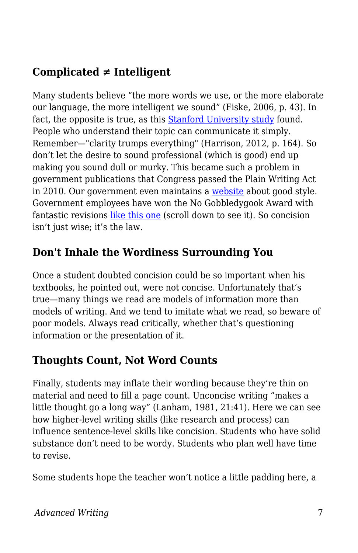# **Complicated ≠ Intelligent**

Many students believe "the more words we use, or the more elaborate our language, the more intelligent we sound" (Fiske, 2006, p. 43). In fact, the opposite is true, as this **[Stanford University study](https://www.businessinsider.com/use-simple-language-to-sound-smarter-2015-9)** found. People who understand their topic can communicate it simply. Remember—"clarity trumps everything" (Harrison, 2012, p. 164). So don't let the desire to sound professional (which is good) end up making you sound dull or murky. This became such a problem in government publications that Congress passed the Plain Writing Act in 2010. Our government even maintains a [website](https://plainlanguage.gov/) about good style. Government employees have won the No Gobbledygook Award with fantastic revisions [like this one](https://www.plainlanguage.gov/examples/awards/award-3/) (scroll down to see it). So concision isn't just wise; it's the law.

### **Don't Inhale the Wordiness Surrounding You**

Once a student doubted concision could be so important when his textbooks, he pointed out, were not concise. Unfortunately that's true—many things we read are models of information more than models of writing. And we tend to imitate what we read, so beware of poor models. Always read critically, whether that's questioning information or the presentation of it.

### **Thoughts Count, Not Word Counts**

Finally, students may inflate their wording because they're thin on material and need to fill a page count. Unconcise writing "makes a little thought go a long way" (Lanham, 1981, 21:41). Here we can see how higher-level writing skills (like research and process) can influence sentence-level skills like concision. Students who have solid substance don't need to be wordy. Students who plan well have time to revise.

Some students hope the teacher won't notice a little padding here, a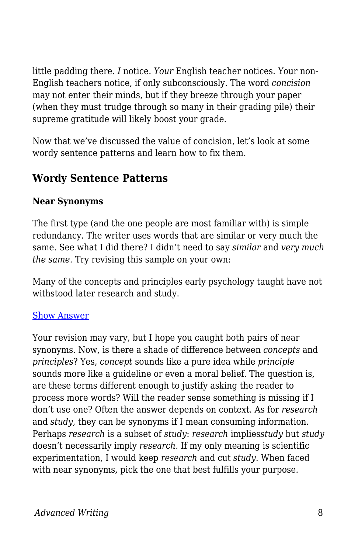little padding there. *I* notice. *Your* English teacher notices. Your non-English teachers notice, if only subconsciously. The word *concision* may not enter their minds, but if they breeze through your paper (when they must trudge through so many in their grading pile) their supreme gratitude will likely boost your grade.

Now that we've discussed the value of concision, let's look at some wordy sentence patterns and learn how to fix them.

### **Wordy Sentence Patterns**

#### **Near Synonyms**

The first type (and the one people are most familiar with) is simple redundancy. The writer uses words that are similar or very much the same. See what I did there? I didn't need to say *similar* and *very much the same*. Try revising this sample on your own:

Many of the concepts and principles early psychology taught have not withstood later research and study.

#### [Show Answer](https://open.byu.edu/)

Your revision may vary, but I hope you caught both pairs of near synonyms. Now, is there a shade of difference between *concepts* and *principles*? Yes, *concept* sounds like a pure idea while *principle* sounds more like a guideline or even a moral belief. The question is, are these terms different enough to justify asking the reader to process more words? Will the reader sense something is missing if I don't use one? Often the answer depends on context. As for *research* and *study*, they can be synonyms if I mean consuming information. Perhaps *research* is a subset of *study*: *research* implies*study* but *study* doesn't necessarily imply *research.* If my only meaning is scientific experimentation, I would keep *research* and cut *study*. When faced with near synonyms, pick the one that best fulfills your purpose.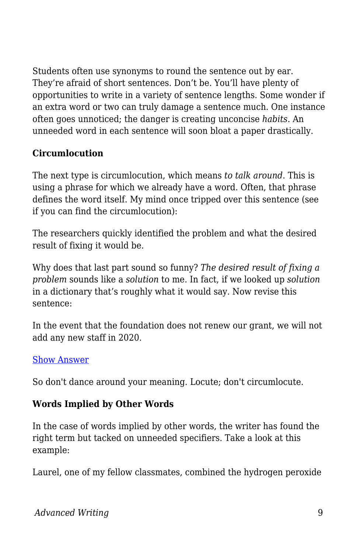Students often use synonyms to round the sentence out by ear. They're afraid of short sentences. Don't be. You'll have plenty of opportunities to write in a variety of sentence lengths. Some wonder if an extra word or two can truly damage a sentence much. One instance often goes unnoticed; the danger is creating unconcise *habits*. An unneeded word in each sentence will soon bloat a paper drastically.

#### **Circumlocution**

The next type is circumlocution, which means *to talk around*. This is using a phrase for which we already have a word. Often, that phrase defines the word itself. My mind once tripped over this sentence (see if you can find the circumlocution):

The researchers quickly identified the problem and what the desired result of fixing it would be.

Why does that last part sound so funny? *The desired result of fixing a problem* sounds like a *solution* to me. In fact, if we looked up *solution* in a dictionary that's roughly what it would say. Now revise this sentence:

In the event that the foundation does not renew our grant, we will not add any new staff in 2020.

#### [Show Answer](https://open.byu.edu/)

So don't dance around your meaning. Locute; don't circumlocute.

#### **Words Implied by Other Words**

In the case of words implied by other words, the writer has found the right term but tacked on unneeded specifiers. Take a look at this example:

Laurel, one of my fellow classmates, combined the hydrogen peroxide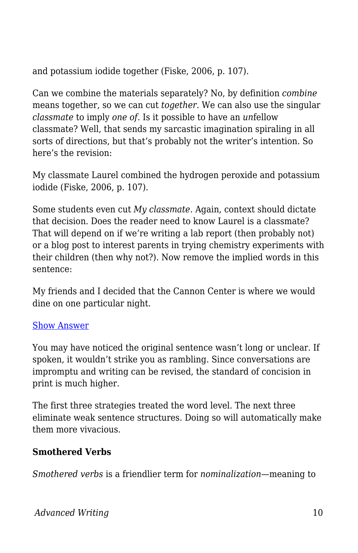and potassium iodide together (Fiske, 2006, p. 107).

Can we combine the materials separately? No, by definition *combine* means together, so we can cut *together*. We can also use the singular *classmate* to imply *one of*. Is it possible to have an *un*fellow classmate? Well, that sends my sarcastic imagination spiraling in all sorts of directions, but that's probably not the writer's intention. So here's the revision:

My classmate Laurel combined the hydrogen peroxide and potassium iodide (Fiske, 2006, p. 107).

Some students even cut *My classmate*. Again, context should dictate that decision. Does the reader need to know Laurel is a classmate? That will depend on if we're writing a lab report (then probably not) or a blog post to interest parents in trying chemistry experiments with their children (then why not?). Now remove the implied words in this sentence:

My friends and I decided that the Cannon Center is where we would dine on one particular night.

#### [Show Answer](https://open.byu.edu/)

You may have noticed the original sentence wasn't long or unclear. If spoken, it wouldn't strike you as rambling. Since conversations are impromptu and writing can be revised, the standard of concision in print is much higher.

The first three strategies treated the word level. The next three eliminate weak sentence structures. Doing so will automatically make them more vivacious.

#### **Smothered Verbs**

*Smothered verbs* is a friendlier term for *nominalization*—meaning to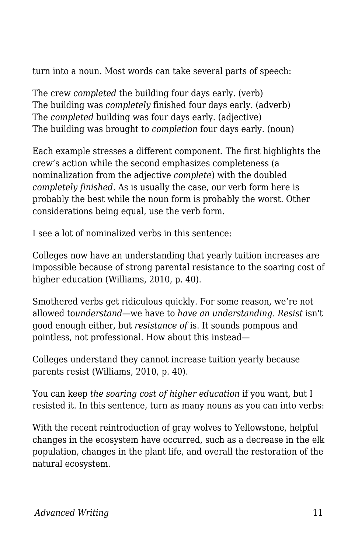turn into a noun. Most words can take several parts of speech:

The crew *completed* the building four days early. (verb) The building was *completely* finished four days early. (adverb) The *completed* building was four days early. (adjective) The building was brought to *completion* four days early. (noun)

Each example stresses a different component. The first highlights the crew's action while the second emphasizes completeness (a nominalization from the adjective *complete*) with the doubled *completely finished*. As is usually the case, our verb form here is probably the best while the noun form is probably the worst. Other considerations being equal, use the verb form.

I see a lot of nominalized verbs in this sentence:

Colleges now have an understanding that yearly tuition increases are impossible because of strong parental resistance to the soaring cost of higher education (Williams, 2010, p. 40).

Smothered verbs get ridiculous quickly. For some reason, we're not allowed to*understand*—we have to *have an understanding*. *Resist* isn't good enough either, but *resistance of* is. It sounds pompous and pointless, not professional. How about this instead—

Colleges understand they cannot increase tuition yearly because parents resist (Williams, 2010, p. 40).

You can keep *the soaring cost of higher education* if you want, but I resisted it. In this sentence, turn as many nouns as you can into verbs:

With the recent reintroduction of gray wolves to Yellowstone, helpful changes in the ecosystem have occurred, such as a decrease in the elk population, changes in the plant life, and overall the restoration of the natural ecosystem.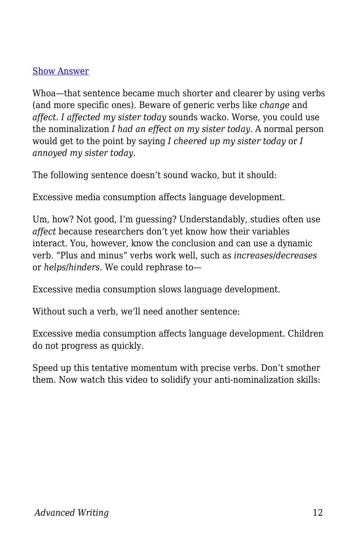#### [Show Answer](https://open.byu.edu/)

Whoa—that sentence became much shorter and clearer by using verbs (and more specific ones). Beware of generic verbs like *change* and *affect*. *I affected my sister today* sounds wacko. Worse, you could use the nominalization *I had an effect on my sister today*. A normal person would get to the point by saying *I cheered up my sister today* or *I annoyed my sister today*.

The following sentence doesn't sound wacko, but it should:

Excessive media consumption affects language development.

Um, how? Not good, I'm guessing? Understandably, studies often use *affect* because researchers don't yet know how their variables interact. You, however, know the conclusion and can use a dynamic verb. "Plus and minus" verbs work well, such as *increases*/*decreases* or *helps*/*hinders*. We could rephrase to—

Excessive media consumption slows language development.

Without such a verb, we'll need another sentence:

Excessive media consumption affects language development. Children do not progress as quickly.

Speed up this tentative momentum with precise verbs. Don't smother them. Now watch this video to solidify your anti-nominalization skills: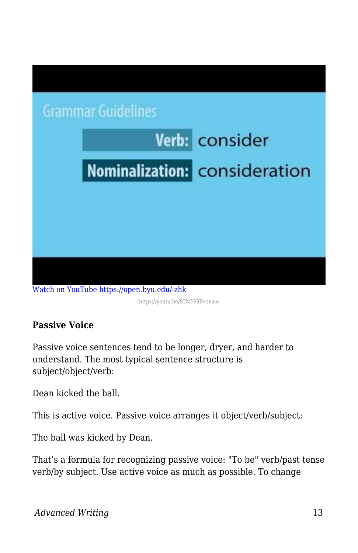

https://youtu.be/82MHOBvovmo

### **Passive Voice**

Passive voice sentences tend to be longer, dryer, and harder to understand. The most typical sentence structure is subject/object/verb:

Dean kicked the ball.

This is active voice. Passive voice arranges it object/verb/subject:

The ball was kicked by Dean.

That's a formula for recognizing passive voice: "To be" verb/past tense verb/by subject. Use active voice as much as possible. To change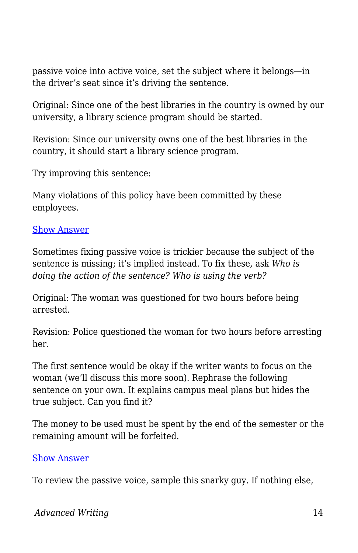passive voice into active voice, set the subject where it belongs—in the driver's seat since it's driving the sentence.

Original: Since one of the best libraries in the country is owned by our university, a library science program should be started.

Revision: Since our university owns one of the best libraries in the country, it should start a library science program.

Try improving this sentence:

Many violations of this policy have been committed by these employees.

#### [Show Answer](https://open.byu.edu/)

Sometimes fixing passive voice is trickier because the subject of the sentence is missing; it's implied instead. To fix these, ask *Who is doing the action of the sentence? Who is using the verb?*

Original: The woman was questioned for two hours before being arrested.

Revision: Police questioned the woman for two hours before arresting her.

The first sentence would be okay if the writer wants to focus on the woman (we'll discuss this more soon). Rephrase the following sentence on your own. It explains campus meal plans but hides the true subject. Can you find it?

The money to be used must be spent by the end of the semester or the remaining amount will be forfeited.

#### [Show Answer](https://open.byu.edu/)

To review the passive voice, sample this snarky guy. If nothing else,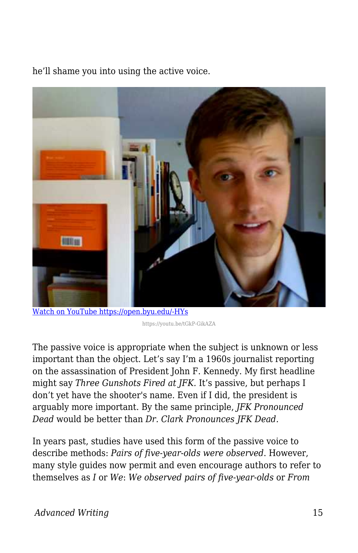he'll shame you into using the active voice.



[Watch on YouTube https://open.byu.edu/-HYs](https://www.youtube.com/embed/tGkP-GikAZA?autoplay=1&rel=0&showinfo=0&modestbranding=1)

The passive voice is appropriate when the subject is unknown or less important than the object. Let's say I'm a 1960s journalist reporting on the assassination of President John F. Kennedy. My first headline might say *Three Gunshots Fired at JFK.* It's passive, but perhaps I don't yet have the shooter's name. Even if I did, the president is arguably more important. By the same principle, *JFK Pronounced Dead* would be better than *Dr. Clark Pronounces JFK Dead.*

In years past, studies have used this form of the passive voice to describe methods: *Pairs of five-year-olds were observed*. However, many style guides now permit and even encourage authors to refer to themselves as *I* or *We*: *We observed pairs of five-year-olds* or *From*

https://youtu.be/tGkP-GikAZA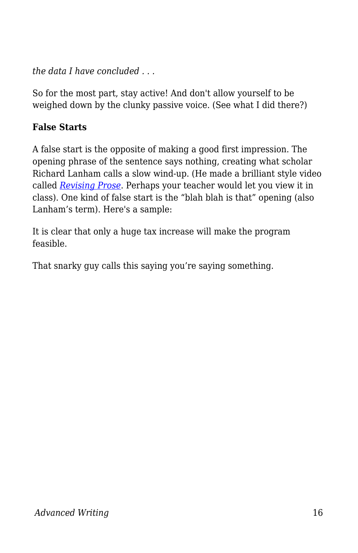*the data I have concluded . . .*

So for the most part, stay active! And don't allow yourself to be weighed down by the clunky passive voice. (See what I did there?)

### **False Starts**

A false start is the opposite of making a good first impression. The opening phrase of the sentence says nothing, creating what scholar Richard Lanham calls a slow wind-up. (He made a brilliant style video called *[Revising Prose](https://www.youtube.com/watch?v=YpRnAJuy-Ck)*. Perhaps your teacher would let you view it in class). One kind of false start is the "blah blah is that" opening (also Lanham's term). Here's a sample:

It is clear that only a huge tax increase will make the program feasible.

That snarky guy calls this saying you're saying something.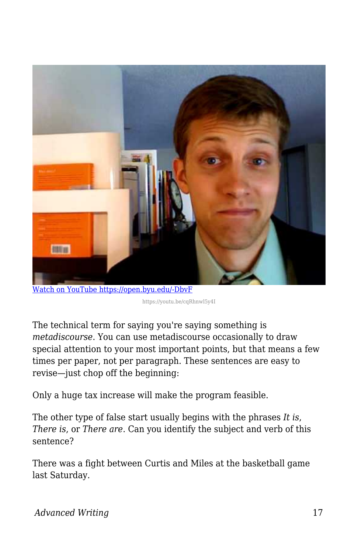

[Watch on YouTube https://open.byu.edu/-DbvF](https://www.youtube.com/embed/cqRhnwl5y4I?autoplay=1&rel=0&showinfo=0&modestbranding=1)

https://youtu.be/cqRhnwl5y4I

The technical term for saying you're saying something is *metadiscourse*. You can use metadiscourse occasionally to draw special attention to your most important points, but that means a few times per paper, not per paragraph. These sentences are easy to revise—just chop off the beginning:

Only a huge tax increase will make the program feasible.

The other type of false start usually begins with the phrases *It is*, *There is*, or *There are*. Can you identify the subject and verb of this sentence?

There was a fight between Curtis and Miles at the basketball game last Saturday.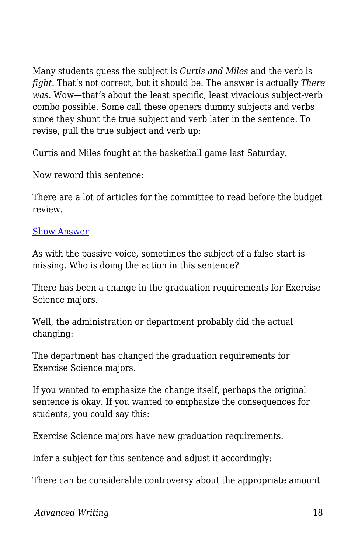Many students guess the subject is *Curtis and Miles* and the verb is *fight*. That's not correct, but it should be. The answer is actually *There was*. Wow—that's about the least specific, least vivacious subject-verb combo possible. Some call these openers dummy subjects and verbs since they shunt the true subject and verb later in the sentence. To revise, pull the true subject and verb up:

Curtis and Miles fought at the basketball game last Saturday.

Now reword this sentence:

There are a lot of articles for the committee to read before the budget review.

#### [Show Answer](https://open.byu.edu/)

As with the passive voice, sometimes the subject of a false start is missing. Who is doing the action in this sentence?

There has been a change in the graduation requirements for Exercise Science majors.

Well, the administration or department probably did the actual changing:

The department has changed the graduation requirements for Exercise Science majors.

If you wanted to emphasize the change itself, perhaps the original sentence is okay. If you wanted to emphasize the consequences for students, you could say this:

Exercise Science majors have new graduation requirements.

Infer a subject for this sentence and adjust it accordingly:

There can be considerable controversy about the appropriate amount

*Advanced Writing* 18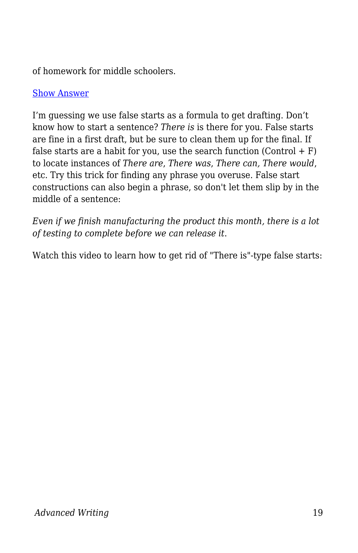of homework for middle schoolers.

#### [Show Answer](https://open.byu.edu/)

I'm guessing we use false starts as a formula to get drafting. Don't know how to start a sentence? *There is* is there for you. False starts are fine in a first draft, but be sure to clean them up for the final. If false starts are a habit for you, use the search function  $(Control + F)$ to locate instances of *There are*, *There was*, *There can, There would*, etc. Try this trick for finding any phrase you overuse. False start constructions can also begin a phrase, so don't let them slip by in the middle of a sentence:

*Even if we finish manufacturing the product this month, there is a lot of testing to complete before we can release it*.

Watch this video to learn how to get rid of "There is"-type false starts: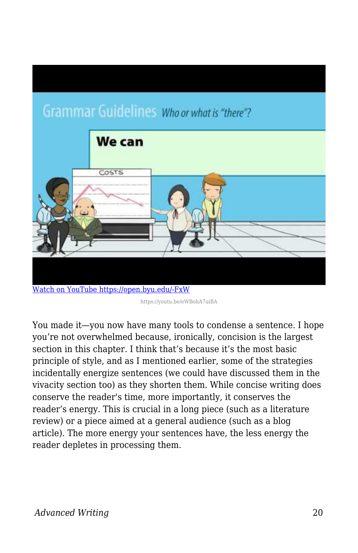# **Grammar Guidelines Whoor what is "there"?**



https://youtu.be/eWBohA7uiBA

You made it—you now have many tools to condense a sentence. I hope you're not overwhelmed because, ironically, concision is the largest section in this chapter. I think that's because it's the most basic principle of style, and as I mentioned earlier, some of the strategies incidentally energize sentences (we could have discussed them in the vivacity section too) as they shorten them. While concise writing does conserve the reader's time, more importantly, it conserves the reader's energy. This is crucial in a long piece (such as a literature review) or a piece aimed at a general audience (such as a blog article). The more energy your sentences have, the less energy the reader depletes in processing them.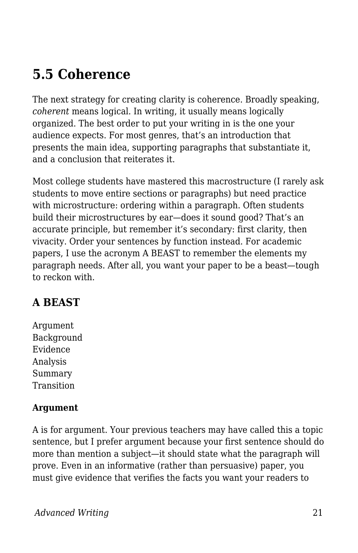# **5.5 Coherence**

The next strategy for creating clarity is coherence. Broadly speaking, *coherent* means logical. In writing, it usually means logically organized. The best order to put your writing in is the one your audience expects. For most genres, that's an introduction that presents the main idea, supporting paragraphs that substantiate it, and a conclusion that reiterates it.

Most college students have mastered this macrostructure (I rarely ask students to move entire sections or paragraphs) but need practice with microstructure: ordering within a paragraph. Often students build their microstructures by ear—does it sound good? That's an accurate principle, but remember it's secondary: first clarity, then vivacity. Order your sentences by function instead. For academic papers, I use the acronym A BEAST to remember the elements my paragraph needs. After all, you want your paper to be a beast—tough to reckon with.

# **A BEAST**

Argument Background Evidence Analysis Summary Transition

#### **Argument**

A is for argument. Your previous teachers may have called this a topic sentence, but I prefer argument because your first sentence should do more than mention a subject—it should state what the paragraph will prove. Even in an informative (rather than persuasive) paper, you must give evidence that verifies the facts you want your readers to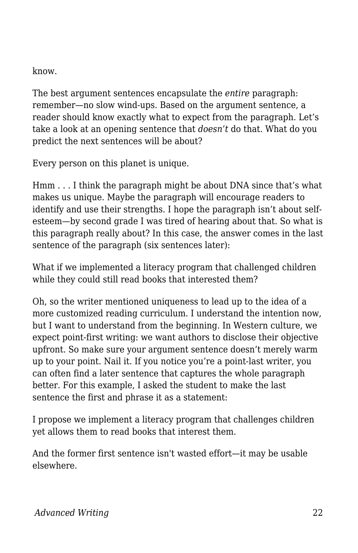know.

The best argument sentences encapsulate the *entire* paragraph: remember—no slow wind-ups. Based on the argument sentence, a reader should know exactly what to expect from the paragraph. Let's take a look at an opening sentence that *doesn't* do that. What do you predict the next sentences will be about?

Every person on this planet is unique.

Hmm . . . I think the paragraph might be about DNA since that's what makes us unique. Maybe the paragraph will encourage readers to identify and use their strengths. I hope the paragraph isn't about selfesteem—by second grade I was tired of hearing about that. So what is this paragraph really about? In this case, the answer comes in the last sentence of the paragraph (six sentences later):

What if we implemented a literacy program that challenged children while they could still read books that interested them?

Oh, so the writer mentioned uniqueness to lead up to the idea of a more customized reading curriculum. I understand the intention now, but I want to understand from the beginning. In Western culture, we expect point-first writing: we want authors to disclose their objective upfront. So make sure your argument sentence doesn't merely warm up to your point. Nail it. If you notice you're a point-last writer, you can often find a later sentence that captures the whole paragraph better. For this example, I asked the student to make the last sentence the first and phrase it as a statement:

I propose we implement a literacy program that challenges children yet allows them to read books that interest them.

And the former first sentence isn't wasted effort—it may be usable elsewhere.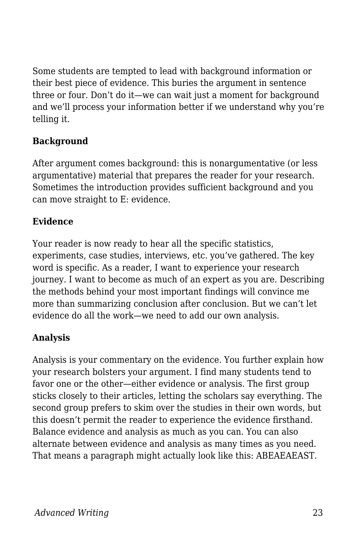Some students are tempted to lead with background information or their best piece of evidence. This buries the argument in sentence three or four. Don't do it—we can wait just a moment for background and we'll process your information better if we understand why you're telling it.

### **Background**

After argument comes background: this is nonargumentative (or less argumentative) material that prepares the reader for your research. Sometimes the introduction provides sufficient background and you can move straight to E: evidence.

#### **Evidence**

Your reader is now ready to hear all the specific statistics, experiments, case studies, interviews, etc. you've gathered. The key word is specific. As a reader, I want to experience your research journey. I want to become as much of an expert as you are. Describing the methods behind your most important findings will convince me more than summarizing conclusion after conclusion. But we can't let evidence do all the work—we need to add our own analysis.

### **Analysis**

Analysis is your commentary on the evidence. You further explain how your research bolsters your argument. I find many students tend to favor one or the other—either evidence or analysis. The first group sticks closely to their articles, letting the scholars say everything. The second group prefers to skim over the studies in their own words, but this doesn't permit the reader to experience the evidence firsthand. Balance evidence and analysis as much as you can. You can also alternate between evidence and analysis as many times as you need. That means a paragraph might actually look like this: ABEAEAEAST.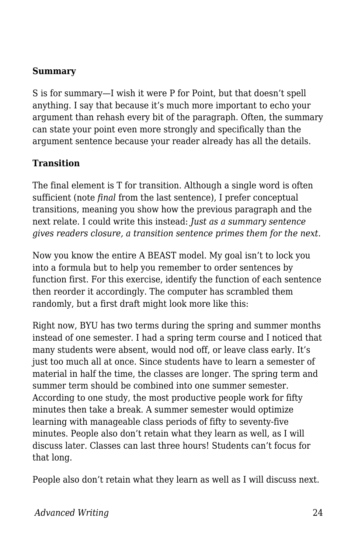#### **Summary**

S is for summary—I wish it were P for Point, but that doesn't spell anything. I say that because it's much more important to echo your argument than rehash every bit of the paragraph. Often, the summary can state your point even more strongly and specifically than the argument sentence because your reader already has all the details.

#### **Transition**

The final element is T for transition. Although a single word is often sufficient (note *final* from the last sentence), I prefer conceptual transitions, meaning you show how the previous paragraph and the next relate. I could write this instead: *Just as a summary sentence gives readers closure, a transition sentence primes them for the next.*

Now you know the entire A BEAST model. My goal isn't to lock you into a formula but to help you remember to order sentences by function first. For this exercise, identify the function of each sentence then reorder it accordingly. The computer has scrambled them randomly, but a first draft might look more like this:

Right now, BYU has two terms during the spring and summer months instead of one semester. I had a spring term course and I noticed that many students were absent, would nod off, or leave class early. It's just too much all at once. Since students have to learn a semester of material in half the time, the classes are longer. The spring term and summer term should be combined into one summer semester. According to one study, the most productive people work for fifty minutes then take a break. A summer semester would optimize learning with manageable class periods of fifty to seventy-five minutes. People also don't retain what they learn as well, as I will discuss later. Classes can last three hours! Students can't focus for that long.

People also don't retain what they learn as well as I will discuss next.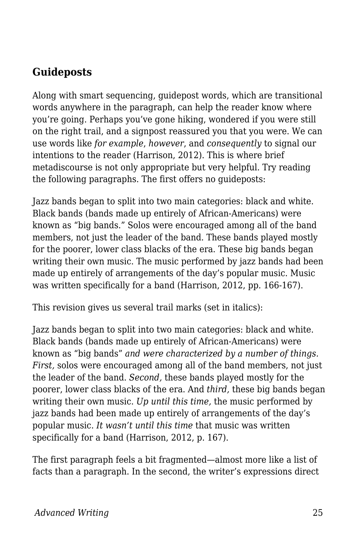### **Guideposts**

Along with smart sequencing, guidepost words, which are transitional words anywhere in the paragraph, can help the reader know where you're going. Perhaps you've gone hiking, wondered if you were still on the right trail, and a signpost reassured you that you were. We can use words like *for example*, *however*, and *consequently* to signal our intentions to the reader (Harrison, 2012). This is where brief metadiscourse is not only appropriate but very helpful. Try reading the following paragraphs. The first offers no guideposts:

Jazz bands began to split into two main categories: black and white. Black bands (bands made up entirely of African-Americans) were known as "big bands." Solos were encouraged among all of the band members, not just the leader of the band. These bands played mostly for the poorer, lower class blacks of the era. These big bands began writing their own music. The music performed by jazz bands had been made up entirely of arrangements of the day's popular music. Music was written specifically for a band (Harrison, 2012, pp. 166-167).

This revision gives us several trail marks (set in italics):

Jazz bands began to split into two main categories: black and white. Black bands (bands made up entirely of African-Americans) were known as "big bands" *and were characterized by a number of things. First,* solos were encouraged among all of the band members, not just the leader of the band. *Second,* these bands played mostly for the poorer, lower class blacks of the era. And *third,* these big bands began writing their own music. *Up until this time,* the music performed by jazz bands had been made up entirely of arrangements of the day's popular music. *It wasn't until this time* that music was written specifically for a band (Harrison, 2012, p. 167).

The first paragraph feels a bit fragmented—almost more like a list of facts than a paragraph. In the second, the writer's expressions direct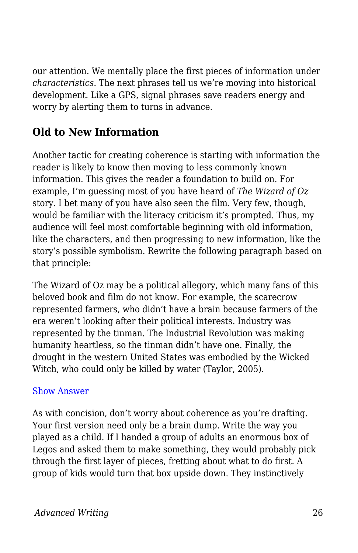our attention. We mentally place the first pieces of information under *characteristics*. The next phrases tell us we're moving into historical development. Like a GPS, signal phrases save readers energy and worry by alerting them to turns in advance.

# **Old to New Information**

Another tactic for creating coherence is starting with information the reader is likely to know then moving to less commonly known information. This gives the reader a foundation to build on. For example, I'm guessing most of you have heard of *The Wizard of Oz* story. I bet many of you have also seen the film. Very few, though, would be familiar with the literacy criticism it's prompted. Thus, my audience will feel most comfortable beginning with old information, like the characters, and then progressing to new information, like the story's possible symbolism. Rewrite the following paragraph based on that principle:

The Wizard of Oz may be a political allegory, which many fans of this beloved book and film do not know. For example, the scarecrow represented farmers, who didn't have a brain because farmers of the era weren't looking after their political interests. Industry was represented by the tinman. The Industrial Revolution was making humanity heartless, so the tinman didn't have one. Finally, the drought in the western United States was embodied by the Wicked Witch, who could only be killed by water (Taylor, 2005).

#### [Show Answer](https://open.byu.edu/)

As with concision, don't worry about coherence as you're drafting. Your first version need only be a brain dump. Write the way you played as a child. If I handed a group of adults an enormous box of Legos and asked them to make something, they would probably pick through the first layer of pieces, fretting about what to do first. A group of kids would turn that box upside down. They instinctively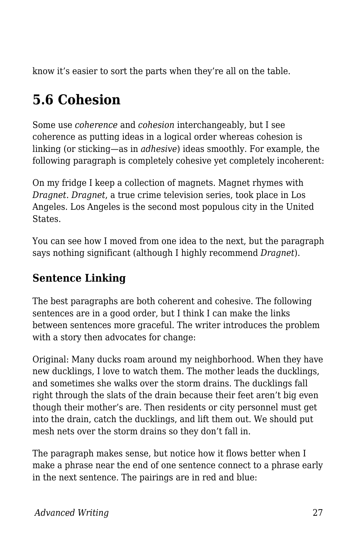know it's easier to sort the parts when they're all on the table.

# **5.6 Cohesion**

Some use *coherence* and *cohesion* interchangeably, but I see coherence as putting ideas in a logical order whereas cohesion is linking (or sticking—as in *adhesive*) ideas smoothly. For example, the following paragraph is completely cohesive yet completely incoherent:

On my fridge I keep a collection of magnets. Magnet rhymes with *Dragnet*. *Dragnet*, a true crime television series, took place in Los Angeles. Los Angeles is the second most populous city in the United States.

You can see how I moved from one idea to the next, but the paragraph says nothing significant (although I highly recommend *Dragnet*).

# **Sentence Linking**

The best paragraphs are both coherent and cohesive. The following sentences are in a good order, but I think I can make the links between sentences more graceful. The writer introduces the problem with a story then advocates for change:

Original: Many ducks roam around my neighborhood. When they have new ducklings, I love to watch them. The mother leads the ducklings, and sometimes she walks over the storm drains. The ducklings fall right through the slats of the drain because their feet aren't big even though their mother's are. Then residents or city personnel must get into the drain, catch the ducklings, and lift them out. We should put mesh nets over the storm drains so they don't fall in.

The paragraph makes sense, but notice how it flows better when I make a phrase near the end of one sentence connect to a phrase early in the next sentence. The pairings are in red and blue: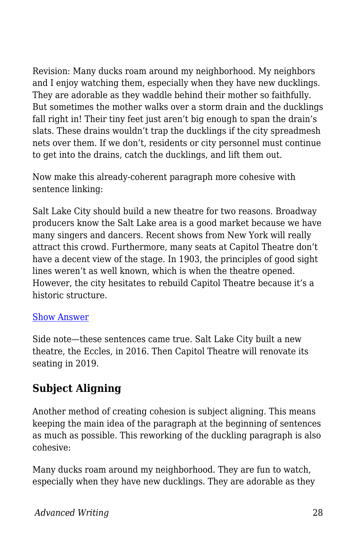Revision: Many ducks roam around my neighborhood. My neighbors and I enjoy watching them, especially when they have new ducklings. They are adorable as they waddle behind their mother so faithfully. But sometimes the mother walks over a storm drain and the ducklings fall right in! Their tiny feet just aren't big enough to span the drain's slats. These drains wouldn't trap the ducklings if the city spreadmesh nets over them. If we don't, residents or city personnel must continue to get into the drains, catch the ducklings, and lift them out.

Now make this already-coherent paragraph more cohesive with sentence linking:

Salt Lake City should build a new theatre for two reasons. Broadway producers know the Salt Lake area is a good market because we have many singers and dancers. Recent shows from New York will really attract this crowd. Furthermore, many seats at Capitol Theatre don't have a decent view of the stage. In 1903, the principles of good sight lines weren't as well known, which is when the theatre opened. However, the city hesitates to rebuild Capitol Theatre because it's a historic structure.

#### [Show Answer](https://open.byu.edu/)

Side note—these sentences came true. Salt Lake City built a new theatre, the Eccles, in 2016. Then Capitol Theatre will renovate its seating in 2019.

# **Subject Aligning**

Another method of creating cohesion is subject aligning. This means keeping the main idea of the paragraph at the beginning of sentences as much as possible. This reworking of the duckling paragraph is also cohesive:

Many ducks roam around my neighborhood. They are fun to watch, especially when they have new ducklings. They are adorable as they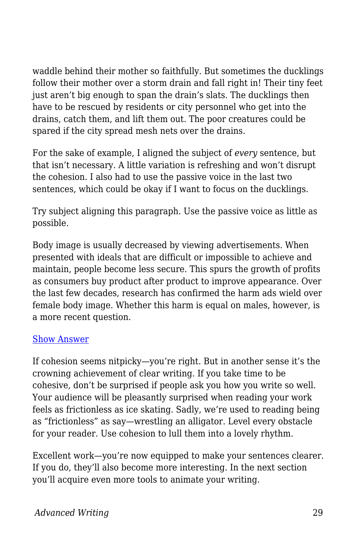waddle behind their mother so faithfully. But sometimes the ducklings follow their mother over a storm drain and fall right in! Their tiny feet just aren't big enough to span the drain's slats. The ducklings then have to be rescued by residents or city personnel who get into the drains, catch them, and lift them out. The poor creatures could be spared if the city spread mesh nets over the drains.

For the sake of example, I aligned the subject of *every* sentence, but that isn't necessary. A little variation is refreshing and won't disrupt the cohesion. I also had to use the passive voice in the last two sentences, which could be okay if I want to focus on the ducklings.

Try subject aligning this paragraph. Use the passive voice as little as possible.

Body image is usually decreased by viewing advertisements. When presented with ideals that are difficult or impossible to achieve and maintain, people become less secure. This spurs the growth of profits as consumers buy product after product to improve appearance. Over the last few decades, research has confirmed the harm ads wield over female body image. Whether this harm is equal on males, however, is a more recent question.

#### [Show Answer](https://open.byu.edu/)

If cohesion seems nitpicky—you're right. But in another sense it's the crowning achievement of clear writing. If you take time to be cohesive, don't be surprised if people ask you how you write so well. Your audience will be pleasantly surprised when reading your work feels as frictionless as ice skating. Sadly, we're used to reading being as "frictionless" as say—wrestling an alligator. Level every obstacle for your reader. Use cohesion to lull them into a lovely rhythm.

Excellent work—you're now equipped to make your sentences clearer. If you do, they'll also become more interesting. In the next section you'll acquire even more tools to animate your writing.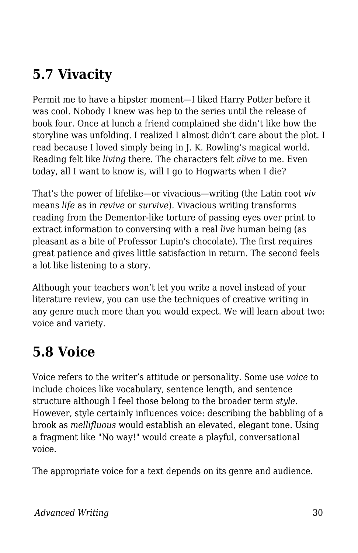# **5.7 Vivacity**

Permit me to have a hipster moment—I liked Harry Potter before it was cool. Nobody I knew was hep to the series until the release of book four. Once at lunch a friend complained she didn't like how the storyline was unfolding. I realized I almost didn't care about the plot. I read because I loved simply being in J. K. Rowling's magical world. Reading felt like *living* there. The characters felt *alive* to me. Even today, all I want to know is, will I go to Hogwarts when I die?

That's the power of lifelike—or vivacious—writing (the Latin root *viv* means *life* as in *revive* or *survive*). Vivacious writing transforms reading from the Dementor-like torture of passing eyes over print to extract information to conversing with a real *live* human being (as pleasant as a bite of Professor Lupin's chocolate). The first requires great patience and gives little satisfaction in return. The second feels a lot like listening to a story.

Although your teachers won't let you write a novel instead of your literature review, you can use the techniques of creative writing in any genre much more than you would expect. We will learn about two: voice and variety.

# **5.8 Voice**

Voice refers to the writer's attitude or personality. Some use *voice* to include choices like vocabulary, sentence length, and sentence structure although I feel those belong to the broader term *style*. However, style certainly influences voice: describing the babbling of a brook as *mellifluous* would establish an elevated, elegant tone. Using a fragment like "No way!" would create a playful, conversational voice.

The appropriate voice for a text depends on its genre and audience.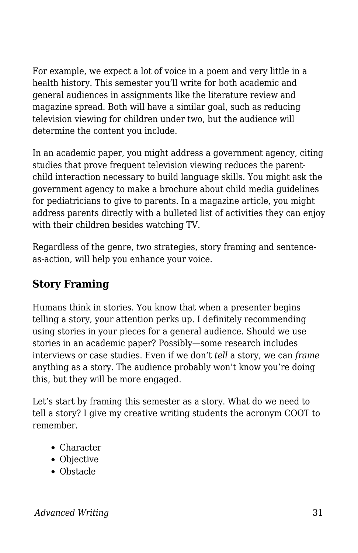For example, we expect a lot of voice in a poem and very little in a health history. This semester you'll write for both academic and general audiences in assignments like the literature review and magazine spread. Both will have a similar goal, such as reducing television viewing for children under two, but the audience will determine the content you include.

In an academic paper, you might address a government agency, citing studies that prove frequent television viewing reduces the parentchild interaction necessary to build language skills. You might ask the government agency to make a brochure about child media guidelines for pediatricians to give to parents. In a magazine article, you might address parents directly with a bulleted list of activities they can enjoy with their children besides watching TV.

Regardless of the genre, two strategies, story framing and sentenceas-action, will help you enhance your voice.

# **Story Framing**

Humans think in stories. You know that when a presenter begins telling a story, your attention perks up. I definitely recommending using stories in your pieces for a general audience. Should we use stories in an academic paper? Possibly—some research includes interviews or case studies. Even if we don't *tell* a story, we can *frame* anything as a story. The audience probably won't know you're doing this, but they will be more engaged.

Let's start by framing this semester as a story. What do we need to tell a story? I give my creative writing students the acronym COOT to remember.

- Character
- Objective
- Obstacle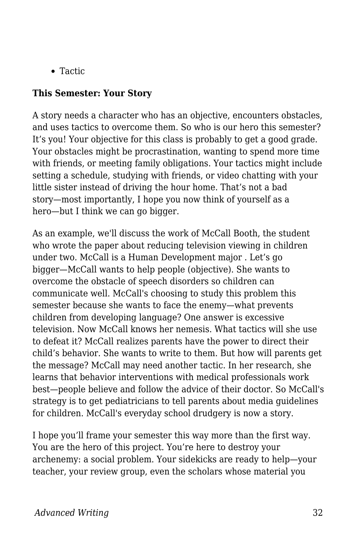• Tactic

#### **This Semester: Your Story**

A story needs a character who has an objective, encounters obstacles, and uses tactics to overcome them. So who is our hero this semester? It's you! Your objective for this class is probably to get a good grade. Your obstacles might be procrastination, wanting to spend more time with friends, or meeting family obligations. Your tactics might include setting a schedule, studying with friends, or video chatting with your little sister instead of driving the hour home. That's not a bad story—most importantly, I hope you now think of yourself as a hero—but I think we can go bigger.

As an example, we'll discuss the work of McCall Booth, the student who wrote the paper about reducing television viewing in children under two. McCall is a Human Development major . Let's go bigger—McCall wants to help people (objective). She wants to overcome the obstacle of speech disorders so children can communicate well. McCall's choosing to study this problem this semester because she wants to face the enemy—what prevents children from developing language? One answer is excessive television. Now McCall knows her nemesis. What tactics will she use to defeat it? McCall realizes parents have the power to direct their child's behavior. She wants to write to them. But how will parents get the message? McCall may need another tactic. In her research, she learns that behavior interventions with medical professionals work best—people believe and follow the advice of their doctor. So McCall's strategy is to get pediatricians to tell parents about media guidelines for children. McCall's everyday school drudgery is now a story.

I hope you'll frame your semester this way more than the first way. You are the hero of this project. You're here to destroy your archenemy: a social problem. Your sidekicks are ready to help—your teacher, your review group, even the scholars whose material you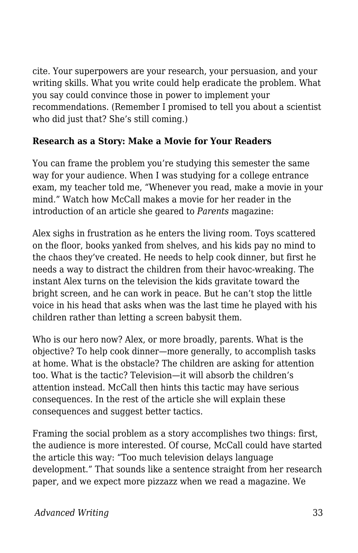cite. Your superpowers are your research, your persuasion, and your writing skills. What you write could help eradicate the problem. What you say could convince those in power to implement your recommendations. (Remember I promised to tell you about a scientist who did just that? She's still coming.)

#### **Research as a Story: Make a Movie for Your Readers**

You can frame the problem you're studying this semester the same way for your audience. When I was studying for a college entrance exam, my teacher told me, "Whenever you read, make a movie in your mind." Watch how McCall makes a movie for her reader in the introduction of an article she geared to *Parents* magazine:

Alex sighs in frustration as he enters the living room. Toys scattered on the floor, books yanked from shelves, and his kids pay no mind to the chaos they've created. He needs to help cook dinner, but first he needs a way to distract the children from their havoc-wreaking. The instant Alex turns on the television the kids gravitate toward the bright screen, and he can work in peace. But he can't stop the little voice in his head that asks when was the last time he played with his children rather than letting a screen babysit them.

Who is our hero now? Alex, or more broadly, parents. What is the objective? To help cook dinner—more generally, to accomplish tasks at home. What is the obstacle? The children are asking for attention too. What is the tactic? Television—it will absorb the children's attention instead. McCall then hints this tactic may have serious consequences. In the rest of the article she will explain these consequences and suggest better tactics.

Framing the social problem as a story accomplishes two things: first, the audience is more interested. Of course, McCall could have started the article this way: "Too much television delays language development." That sounds like a sentence straight from her research paper, and we expect more pizzazz when we read a magazine. We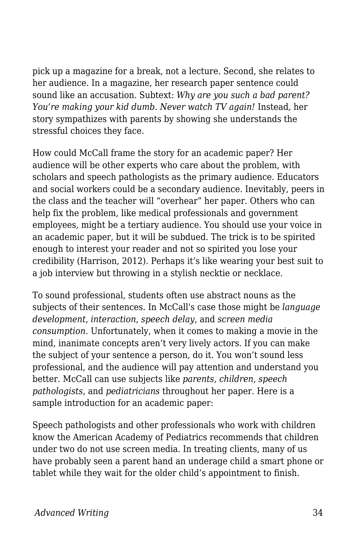pick up a magazine for a break, not a lecture. Second, she relates to her audience. In a magazine, her research paper sentence could sound like an accusation. Subtext: *Why are you such a bad parent? You're making your kid dumb. Never watch TV again!* Instead*,* her story sympathizes with parents by showing she understands the stressful choices they face.

How could McCall frame the story for an academic paper? Her audience will be other experts who care about the problem, with scholars and speech pathologists as the primary audience. Educators and social workers could be a secondary audience. Inevitably, peers in the class and the teacher will "overhear" her paper. Others who can help fix the problem, like medical professionals and government employees, might be a tertiary audience. You should use your voice in an academic paper, but it will be subdued. The trick is to be spirited enough to interest your reader and not so spirited you lose your credibility (Harrison, 2012). Perhaps it's like wearing your best suit to a job interview but throwing in a stylish necktie or necklace.

To sound professional, students often use abstract nouns as the subjects of their sentences. In McCall's case those might be *language development*, *interaction*, *speech delay*, and *screen media consumption*. Unfortunately, when it comes to making a movie in the mind, inanimate concepts aren't very lively actors. If you can make the subject of your sentence a person, do it. You won't sound less professional, and the audience will pay attention and understand you better. McCall can use subjects like *parents*, *children*, *speech pathologists*, and *pediatricians* throughout her paper. Here is a sample introduction for an academic paper:

Speech pathologists and other professionals who work with children know the American Academy of Pediatrics recommends that children under two do not use screen media. In treating clients, many of us have probably seen a parent hand an underage child a smart phone or tablet while they wait for the older child's appointment to finish.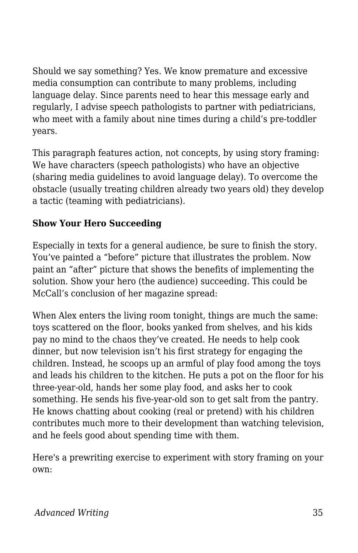Should we say something? Yes. We know premature and excessive media consumption can contribute to many problems, including language delay. Since parents need to hear this message early and regularly, I advise speech pathologists to partner with pediatricians, who meet with a family about nine times during a child's pre-toddler years.

This paragraph features action, not concepts, by using story framing: We have characters (speech pathologists) who have an objective (sharing media guidelines to avoid language delay). To overcome the obstacle (usually treating children already two years old) they develop a tactic (teaming with pediatricians).

### **Show Your Hero Succeeding**

Especially in texts for a general audience, be sure to finish the story. You've painted a "before" picture that illustrates the problem. Now paint an "after" picture that shows the benefits of implementing the solution. Show your hero (the audience) succeeding. This could be McCall's conclusion of her magazine spread:

When Alex enters the living room tonight, things are much the same: toys scattered on the floor, books yanked from shelves, and his kids pay no mind to the chaos they've created. He needs to help cook dinner, but now television isn't his first strategy for engaging the children. Instead, he scoops up an armful of play food among the toys and leads his children to the kitchen. He puts a pot on the floor for his three-year-old, hands her some play food, and asks her to cook something. He sends his five-year-old son to get salt from the pantry. He knows chatting about cooking (real or pretend) with his children contributes much more to their development than watching television, and he feels good about spending time with them.

Here's a prewriting exercise to experiment with story framing on your own: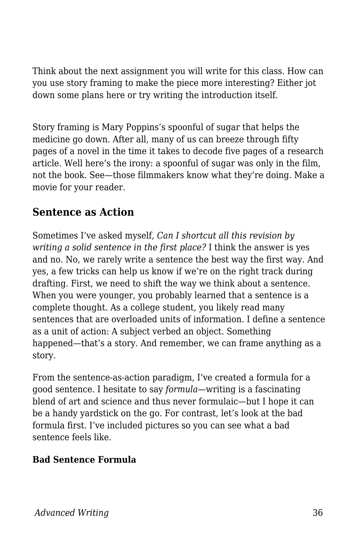Think about the next assignment you will write for this class. How can you use story framing to make the piece more interesting? Either jot down some plans here or try writing the introduction itself.

Story framing is Mary Poppins's spoonful of sugar that helps the medicine go down. After all, many of us can breeze through fifty pages of a novel in the time it takes to decode five pages of a research article. Well here's the irony: a spoonful of sugar was only in the film, not the book. See—those filmmakers know what they're doing. Make a movie for your reader.

### **Sentence as Action**

Sometimes I've asked myself, *Can I shortcut all this revision by writing a solid sentence in the first place?* I think the answer is yes and no. No, we rarely write a sentence the best way the first way. And yes, a few tricks can help us know if we're on the right track during drafting. First, we need to shift the way we think about a sentence. When you were younger, you probably learned that a sentence is a complete thought. As a college student, you likely read many sentences that are overloaded units of information. I define a sentence as a unit of action: A subject verbed an object. Something happened—that's a story. And remember, we can frame anything as a story.

From the sentence-as-action paradigm, I've created a formula for a good sentence. I hesitate to say *formula*—writing is a fascinating blend of art and science and thus never formulaic—but I hope it can be a handy yardstick on the go. For contrast, let's look at the bad formula first. I've included pictures so you can see what a bad sentence feels like.

#### **Bad Sentence Formula**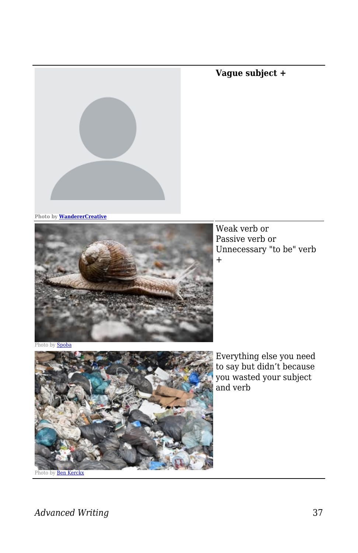# **Vague subject +**

**Photo by [WandererCreative](https://pixabay.com/vectors/blank-profile-picture-mystery-man-973460/)**



Weak verb or Passive verb or Unnecessary "to be" verb +

Photo by **[Spoba](https://pixabay.com/photos/snail-slowly-bauchfuesser-slimy-3314321/)** 



Everything else you need to say but didn't because you wasted your subject and verb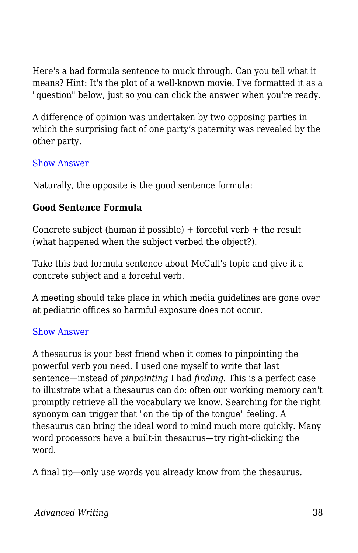Here's a bad formula sentence to muck through. Can you tell what it means? Hint: It's the plot of a well-known movie. I've formatted it as a "question" below, just so you can click the answer when you're ready.

A difference of opinion was undertaken by two opposing parties in which the surprising fact of one party's paternity was revealed by the other party.

#### [Show Answer](https://open.byu.edu/)

Naturally, the opposite is the good sentence formula:

#### **Good Sentence Formula**

Concrete subject (human if possible)  $+$  forceful verb  $+$  the result (what happened when the subject verbed the object?).

Take this bad formula sentence about McCall's topic and give it a concrete subject and a forceful verb.

A meeting should take place in which media guidelines are gone over at pediatric offices so harmful exposure does not occur.

#### [Show Answer](https://open.byu.edu/)

A thesaurus is your best friend when it comes to pinpointing the powerful verb you need. I used one myself to write that last sentence—instead of *pinpointing* I had *finding*. This is a perfect case to illustrate what a thesaurus can do: often our working memory can't promptly retrieve all the vocabulary we know. Searching for the right synonym can trigger that "on the tip of the tongue" feeling. A thesaurus can bring the ideal word to mind much more quickly. Many word processors have a built-in thesaurus—try right-clicking the word.

A final tip—only use words you already know from the thesaurus.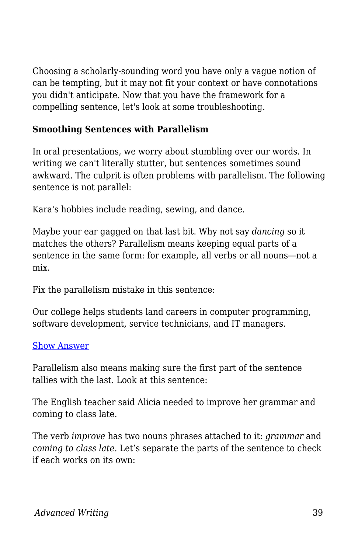Choosing a scholarly-sounding word you have only a vague notion of can be tempting, but it may not fit your context or have connotations you didn't anticipate. Now that you have the framework for a compelling sentence, let's look at some troubleshooting.

#### **Smoothing Sentences with Parallelism**

In oral presentations, we worry about stumbling over our words. In writing we can't literally stutter, but sentences sometimes sound awkward. The culprit is often problems with parallelism. The following sentence is not parallel:

Kara's hobbies include reading, sewing, and dance.

Maybe your ear gagged on that last bit. Why not say *dancing* so it matches the others? Parallelism means keeping equal parts of a sentence in the same form: for example, all verbs or all nouns—not a mix.

Fix the parallelism mistake in this sentence:

Our college helps students land careers in computer programming, software development, service technicians, and IT managers.

#### [Show Answer](https://open.byu.edu/)

Parallelism also means making sure the first part of the sentence tallies with the last. Look at this sentence:

The English teacher said Alicia needed to improve her grammar and coming to class late.

The verb *improve* has two nouns phrases attached to it: *grammar* and *coming to class late*. Let's separate the parts of the sentence to check if each works on its own: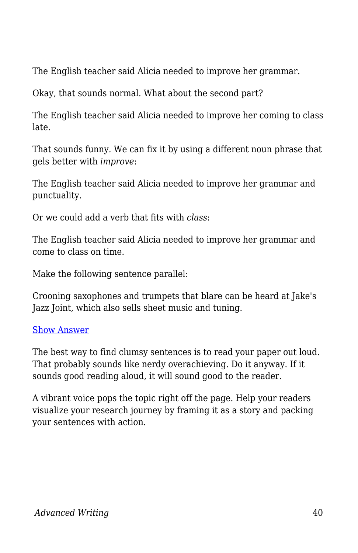The English teacher said Alicia needed to improve her grammar.

Okay, that sounds normal. What about the second part?

The English teacher said Alicia needed to improve her coming to class late.

That sounds funny. We can fix it by using a different noun phrase that gels better with *improve*:

The English teacher said Alicia needed to improve her grammar and punctuality.

Or we could add a verb that fits with *class*:

The English teacher said Alicia needed to improve her grammar and come to class on time.

Make the following sentence parallel:

Crooning saxophones and trumpets that blare can be heard at Jake's Jazz Joint, which also sells sheet music and tuning.

#### [Show Answer](https://open.byu.edu/)

The best way to find clumsy sentences is to read your paper out loud. That probably sounds like nerdy overachieving. Do it anyway. If it sounds good reading aloud, it will sound good to the reader.

A vibrant voice pops the topic right off the page. Help your readers visualize your research journey by framing it as a story and packing your sentences with action.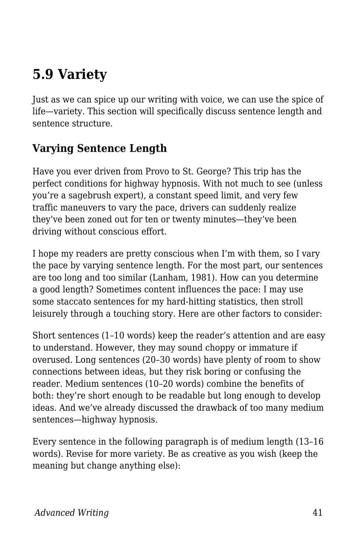# **5.9 Variety**

Just as we can spice up our writing with voice, we can use the spice of life—variety. This section will specifically discuss sentence length and sentence structure.

# **Varying Sentence Length**

Have you ever driven from Provo to St. George? This trip has the perfect conditions for highway hypnosis. With not much to see (unless you're a sagebrush expert), a constant speed limit, and very few traffic maneuvers to vary the pace, drivers can suddenly realize they've been zoned out for ten or twenty minutes—they've been driving without conscious effort.

I hope my readers are pretty conscious when I'm with them, so I vary the pace by varying sentence length. For the most part, our sentences are too long and too similar (Lanham, 1981). How can you determine a good length? Sometimes content influences the pace: I may use some staccato sentences for my hard-hitting statistics, then stroll leisurely through a touching story. Here are other factors to consider:

Short sentences (1–10 words) keep the reader's attention and are easy to understand. However, they may sound choppy or immature if overused. Long sentences (20–30 words) have plenty of room to show connections between ideas, but they risk boring or confusing the reader. Medium sentences (10–20 words) combine the benefits of both: they're short enough to be readable but long enough to develop ideas. And we've already discussed the drawback of too many medium sentences—highway hypnosis.

Every sentence in the following paragraph is of medium length (13–16 words). Revise for more variety. Be as creative as you wish (keep the meaning but change anything else):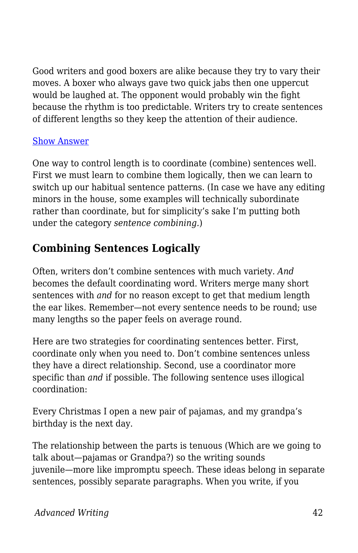Good writers and good boxers are alike because they try to vary their moves. A boxer who always gave two quick jabs then one uppercut would be laughed at. The opponent would probably win the fight because the rhythm is too predictable. Writers try to create sentences of different lengths so they keep the attention of their audience.

#### [Show Answer](https://open.byu.edu/)

One way to control length is to coordinate (combine) sentences well. First we must learn to combine them logically, then we can learn to switch up our habitual sentence patterns. (In case we have any editing minors in the house, some examples will technically subordinate rather than coordinate, but for simplicity's sake I'm putting both under the category *sentence combining.*)

### **Combining Sentences Logically**

Often, writers don't combine sentences with much variety. *And* becomes the default coordinating word. Writers merge many short sentences with *and* for no reason except to get that medium length the ear likes. Remember—not every sentence needs to be round; use many lengths so the paper feels on average round.

Here are two strategies for coordinating sentences better. First, coordinate only when you need to. Don't combine sentences unless they have a direct relationship. Second, use a coordinator more specific than *and* if possible. The following sentence uses illogical coordination:

Every Christmas I open a new pair of pajamas, and my grandpa's birthday is the next day.

The relationship between the parts is tenuous (Which are we going to talk about—pajamas or Grandpa?) so the writing sounds juvenile—more like impromptu speech. These ideas belong in separate sentences, possibly separate paragraphs. When you write, if you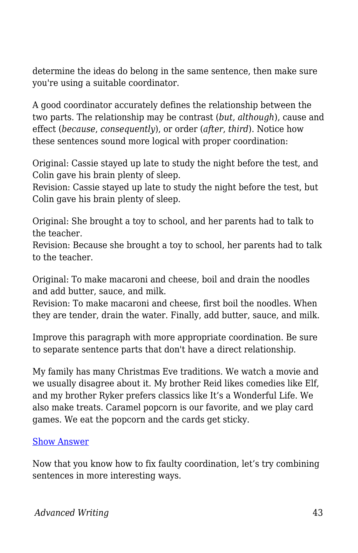determine the ideas do belong in the same sentence, then make sure you're using a suitable coordinator.

A good coordinator accurately defines the relationship between the two parts. The relationship may be contrast (*but*, *although*), cause and effect (*because*, *consequently*), or order (*after*, *third*). Notice how these sentences sound more logical with proper coordination:

Original: Cassie stayed up late to study the night before the test, and Colin gave his brain plenty of sleep.

Revision: Cassie stayed up late to study the night before the test, but Colin gave his brain plenty of sleep.

Original: She brought a toy to school, and her parents had to talk to the teacher.

Revision: Because she brought a toy to school, her parents had to talk to the teacher.

Original: To make macaroni and cheese, boil and drain the noodles and add butter, sauce, and milk.

Revision: To make macaroni and cheese, first boil the noodles. When they are tender, drain the water. Finally, add butter, sauce, and milk.

Improve this paragraph with more appropriate coordination. Be sure to separate sentence parts that don't have a direct relationship.

My family has many Christmas Eve traditions. We watch a movie and we usually disagree about it. My brother Reid likes comedies like Elf, and my brother Ryker prefers classics like It's a Wonderful Life. We also make treats. Caramel popcorn is our favorite, and we play card games. We eat the popcorn and the cards get sticky.

#### [Show Answer](https://open.byu.edu/)

Now that you know how to fix faulty coordination, let's try combining sentences in more interesting ways.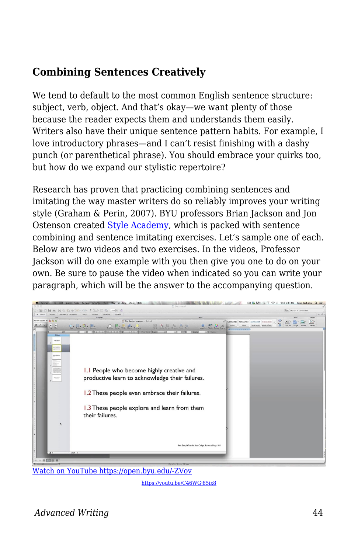# **Combining Sentences Creatively**

We tend to default to the most common English sentence structure: subject, verb, object. And that's okay—we want plenty of those because the reader expects them and understands them easily. Writers also have their unique sentence pattern habits. For example, I love introductory phrases—and I can't resist finishing with a dashy punch (or parenthetical phrase). You should embrace your quirks too, but how do we expand our stylistic repertoire?

Research has proven that practicing combining sentences and imitating the way master writers do so reliably improves your writing style (Graham & Perin, 2007). BYU professors Brian Jackson and Jon Ostenson created [Style Academy](http://styleacademy.byu.edu/), which is packed with sentence combining and sentence imitating exercises. Let's sample one of each. Below are two videos and two exercises. In the videos, Professor Jackson will do one example with you then give you one to do on your own. Be sure to pause the video when indicated so you can write your paragraph, which will be the answer to the accompanying question.



[Watch on YouTube https://open.byu.edu/-ZVov](https://www.youtube.com/embed/C46WGj85ix8?autoplay=1&rel=0&showinfo=0&modestbranding=1)

<https://youtu.be/C46WGj85ix8>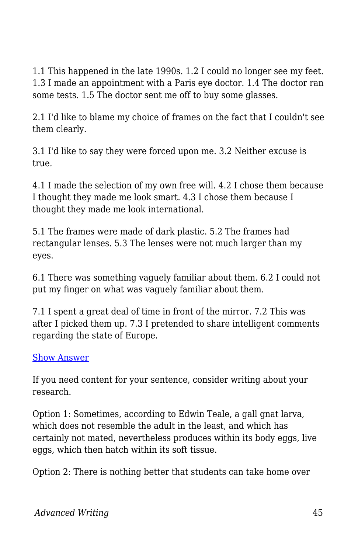1.1 This happened in the late 1990s. 1.2 I could no longer see my feet. 1.3 I made an appointment with a Paris eye doctor. 1.4 The doctor ran some tests. 1.5 The doctor sent me off to buy some glasses.

2.1 I'd like to blame my choice of frames on the fact that I couldn't see them clearly.

3.1 I'd like to say they were forced upon me. 3.2 Neither excuse is true.

4.1 I made the selection of my own free will. 4.2 I chose them because I thought they made me look smart. 4.3 I chose them because I thought they made me look international.

5.1 The frames were made of dark plastic. 5.2 The frames had rectangular lenses. 5.3 The lenses were not much larger than my eyes.

6.1 There was something vaguely familiar about them. 6.2 I could not put my finger on what was vaguely familiar about them.

7.1 I spent a great deal of time in front of the mirror. 7.2 This was after I picked them up. 7.3 I pretended to share intelligent comments regarding the state of Europe.

#### [Show Answer](https://open.byu.edu/)

If you need content for your sentence, consider writing about your research.

Option 1: Sometimes, according to Edwin Teale, a gall gnat larva, which does not resemble the adult in the least, and which has certainly not mated, nevertheless produces within its body eggs, live eggs, which then hatch within its soft tissue.

Option 2: There is nothing better that students can take home over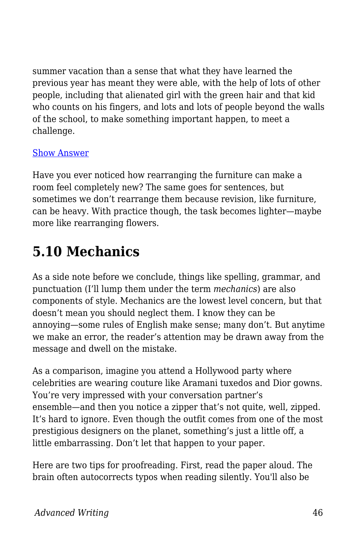summer vacation than a sense that what they have learned the previous year has meant they were able, with the help of lots of other people, including that alienated girl with the green hair and that kid who counts on his fingers, and lots and lots of people beyond the walls of the school, to make something important happen, to meet a challenge.

#### [Show Answer](https://open.byu.edu/)

Have you ever noticed how rearranging the furniture can make a room feel completely new? The same goes for sentences, but sometimes we don't rearrange them because revision, like furniture, can be heavy. With practice though, the task becomes lighter—maybe more like rearranging flowers.

# **5.10 Mechanics**

As a side note before we conclude, things like spelling, grammar, and punctuation (I'll lump them under the term *mechanics*) are also components of style. Mechanics are the lowest level concern, but that doesn't mean you should neglect them. I know they can be annoying—some rules of English make sense; many don't. But anytime we make an error, the reader's attention may be drawn away from the message and dwell on the mistake.

As a comparison, imagine you attend a Hollywood party where celebrities are wearing couture like Aramani tuxedos and Dior gowns. You're very impressed with your conversation partner's ensemble—and then you notice a zipper that's not quite, well, zipped. It's hard to ignore. Even though the outfit comes from one of the most prestigious designers on the planet, something's just a little off, a little embarrassing. Don't let that happen to your paper.

Here are two tips for proofreading. First, read the paper aloud. The brain often autocorrects typos when reading silently. You'll also be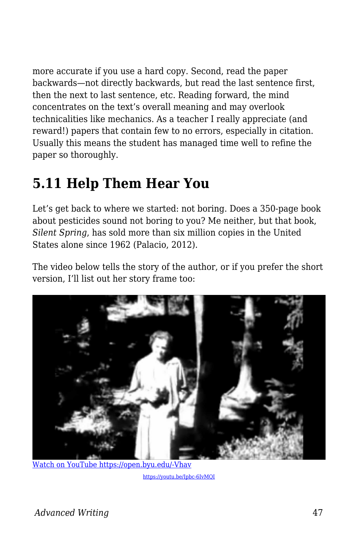more accurate if you use a hard copy. Second, read the paper backwards—not directly backwards, but read the last sentence first, then the next to last sentence, etc. Reading forward, the mind concentrates on the text's overall meaning and may overlook technicalities like mechanics. As a teacher I really appreciate (and reward!) papers that contain few to no errors, especially in citation. Usually this means the student has managed time well to refine the paper so thoroughly.

# **5.11 Help Them Hear You**

Let's get back to where we started: not boring. Does a 350-page book about pesticides sound not boring to you? Me neither, but that book, *Silent Spring*, has sold more than six million copies in the United States alone since 1962 (Palacio, 2012).

The video below tells the story of the author, or if you prefer the short version, I'll list out her story frame too:



[Watch on YouTube https://open.byu.edu/-Vhav](https://www.youtube.com/embed/Ipbc-6IvMQI?autoplay=1&rel=0&showinfo=0&modestbranding=1)

<https://youtu.be/Ipbc-6IvMQI>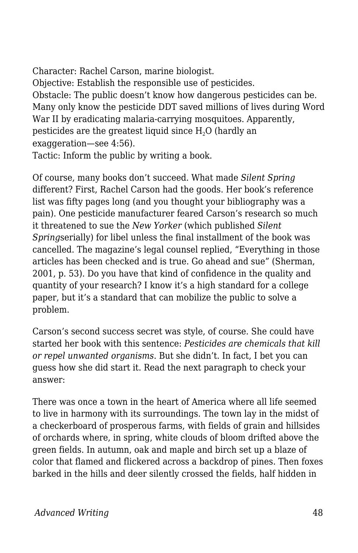Character: Rachel Carson, marine biologist. Objective: Establish the responsible use of pesticides. Obstacle: The public doesn't know how dangerous pesticides can be. Many only know the pesticide DDT saved millions of lives during Word War II by eradicating malaria-carrying mosquitoes. Apparently, pesticides are the greatest liquid since  $H<sub>2</sub>O$  (hardly an exaggeration—see 4:56). Tactic: Inform the public by writing a book.

Of course, many books don't succeed. What made *Silent Spring* different? First, Rachel Carson had the goods. Her book's reference list was fifty pages long (and you thought your bibliography was a pain). One pesticide manufacturer feared Carson's research so much it threatened to sue the *New Yorker* (which published *Silent Spring*serially) for libel unless the final installment of the book was cancelled. The magazine's legal counsel replied, "Everything in those articles has been checked and is true. Go ahead and sue" (Sherman, 2001, p. 53). Do you have that kind of confidence in the quality and quantity of your research? I know it's a high standard for a college paper, but it's a standard that can mobilize the public to solve a problem.

Carson's second success secret was style, of course. She could have started her book with this sentence: *Pesticides are chemicals that kill or repel unwanted organisms*. But she didn't. In fact, I bet you can guess how she did start it. Read the next paragraph to check your answer:

There was once a town in the heart of America where all life seemed to live in harmony with its surroundings. The town lay in the midst of a checkerboard of prosperous farms, with fields of grain and hillsides of orchards where, in spring, white clouds of bloom drifted above the green fields. In autumn, oak and maple and birch set up a blaze of color that flamed and flickered across a backdrop of pines. Then foxes barked in the hills and deer silently crossed the fields, half hidden in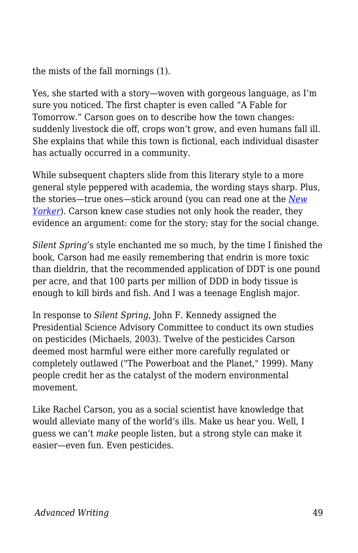the mists of the fall mornings (1).

Yes, she started with a story—woven with gorgeous language, as I'm sure you noticed. The first chapter is even called "A Fable for Tomorrow." Carson goes on to describe how the town changes: suddenly livestock die off, crops won't grow, and even humans fall ill. She explains that while this town is fictional, each individual disaster has actually occurred in a community.

While subsequent chapters slide from this literary style to a more general style peppered with academia, the wording stays sharp. Plus, the stories—true ones—stick around (you can read one at the *[New](https://www.newyorker.com/books/double-take/eighty-five-from-the-archive-rachel-carson) [Yorker](https://www.newyorker.com/books/double-take/eighty-five-from-the-archive-rachel-carson)*). Carson knew case studies not only hook the reader, they evidence an argument: come for the story; stay for the social change.

*Silent Spring'*s style enchanted me so much, by the time I finished the book, Carson had me easily remembering that endrin is more toxic than dieldrin, that the recommended application of DDT is one pound per acre, and that 100 parts per million of DDD in body tissue is enough to kill birds and fish. And I was a teenage English major.

In response to *Silent Spring*, John F. Kennedy assigned the Presidential Science Advisory Committee to conduct its own studies on pesticides (Michaels, 2003). Twelve of the pesticides Carson deemed most harmful were either more carefully regulated or completely outlawed ("The Powerboat and the Planet," 1999). Many people credit her as the catalyst of the modern environmental movement.

Like Rachel Carson, you as a social scientist have knowledge that would alleviate many of the world's ills. Make us hear you. Well, I guess we can't *make* people listen, but a strong style can make it easier—even fun. Even pesticides.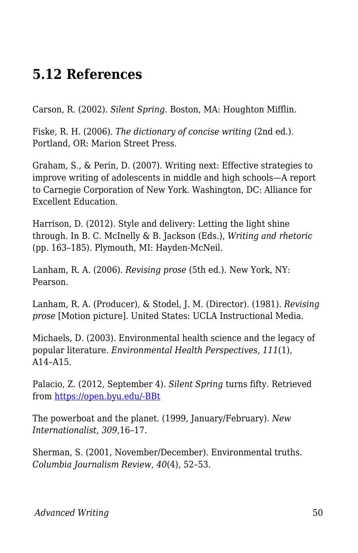# **5.12 References**

Carson, R. (2002). *Silent Spring*. Boston, MA: Houghton Mifflin.

Fiske, R. H. (2006). *The dictionary of concise writing* (2nd ed.). Portland, OR: Marion Street Press.

Graham, S., & Perin, D. (2007). Writing next: Effective strategies to improve writing of adolescents in middle and high schools—A report to Carnegie Corporation of New York. Washington, DC: Alliance for Excellent Education.

Harrison, D. (2012). Style and delivery: Letting the light shine through. In B. C. McInelly & B. Jackson (Eds.), *Writing and rhetoric* (pp. 163–185). Plymouth, MI: Hayden-McNeil.

Lanham, R. A. (2006). *Revising prose* (5th ed.). New York, NY: Pearson.

Lanham, R. A. (Producer), & Stodel, J. M. (Director). (1981). *Revising prose* [Motion picture]. United States: UCLA Instructional Media.

Michaels, D. (2003). Environmental health science and the legacy of popular literature. *Environmental Health Perspectives, 111*(1), A14–A15.

Palacio, Z. (2012, September 4). *Silent Spring* turns fifty. Retrieved from [https://open.byu.edu/-BBt](https://www.voanews.com/usa/silent-spring-turns-fifty)

The powerboat and the planet. (1999, January/February). *New Internationalist, 309,*16–17.

Sherman, S. (2001, November/December). Environmental truths. *Columbia Journalism Review, 40*(4), 52–53.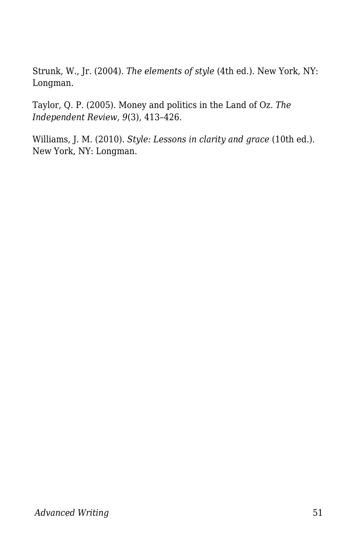Strunk, W., Jr. (2004). *The elements of style* (4th ed.). New York, NY: Longman.

Taylor, Q. P. (2005). Money and politics in the Land of Oz. *The Independent Review, 9*(3), 413–426.

Williams, J. M. (2010). *Style: Lessons in clarity and grace* (10th ed.). New York, NY: Longman.